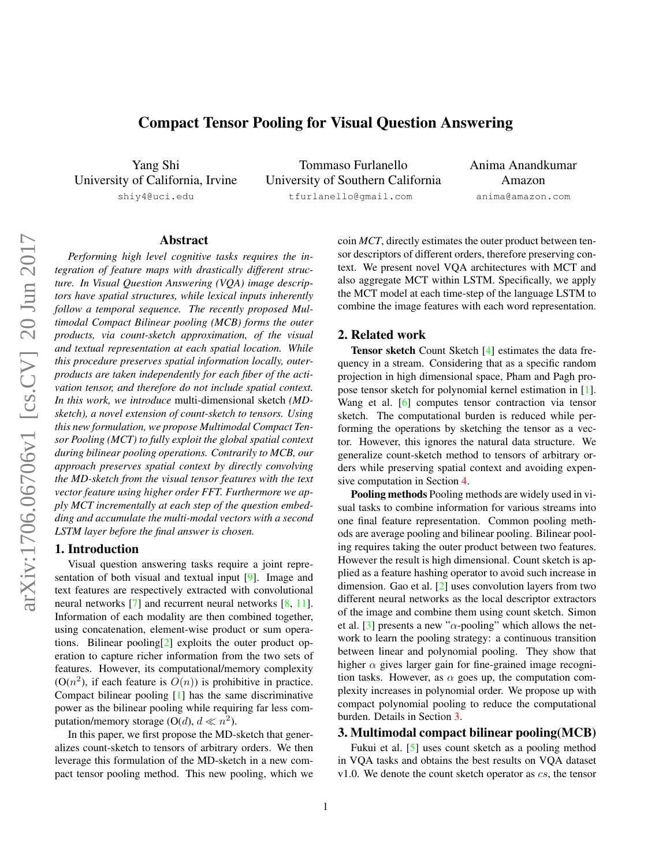# Compact Tensor Pooling for Visual Question Answering

<span id="page-0-1"></span>Yang Shi University of California, Irvine shiy4@uci.edu

Tommaso Furlanello University of Southern California tfurlanello@gmail.com

Anima Anandkumar Amazon anima@amazon.com

## Abstract

*Performing high level cognitive tasks requires the integration of feature maps with drastically different structure. In Visual Question Answering (VQA) image descriptors have spatial structures, while lexical inputs inherently follow a temporal sequence. The recently proposed Multimodal Compact Bilinear pooling (MCB) forms the outer products, via count-sketch approximation, of the visual and textual representation at each spatial location. While this procedure preserves spatial information locally, outerproducts are taken independently for each fiber of the activation tensor, and therefore do not include spatial context. In this work, we introduce* multi-dimensional sketch *(MDsketch), a novel extension of count-sketch to tensors. Using this new formulation, we propose Multimodal Compact Tensor Pooling (MCT) to fully exploit the global spatial context during bilinear pooling operations. Contrarily to MCB, our approach preserves spatial context by directly convolving the MD-sketch from the visual tensor features with the text vector feature using higher order FFT. Furthermore we apply MCT incrementally at each step of the question embedding and accumulate the multi-modal vectors with a second LSTM layer before the final answer is chosen.*

### 1. Introduction

Visual question answering tasks require a joint representation of both visual and textual input [\[9\]](#page-2-0). Image and text features are respectively extracted with convolutional neural networks [\[7\]](#page-2-1) and recurrent neural networks [\[8,](#page-2-2) [11\]](#page-2-3). Information of each modality are then combined together, using concatenation, element-wise product or sum operations. Bilinear pooling[\[2\]](#page-2-4) exploits the outer product operation to capture richer information from the two sets of features. However, its computational/memory complexity  $(O(n^2))$ , if each feature is  $O(n)$  is prohibitive in practice. Compact bilinear pooling [\[1\]](#page-2-5) has the same discriminative power as the bilinear pooling while requiring far less computation/memory storage (O(d),  $d \ll n^2$ ).

In this paper, we first propose the MD-sketch that generalizes count-sketch to tensors of arbitrary orders. We then leverage this formulation of the MD-sketch in a new compact tensor pooling method. This new pooling, which we coin *MCT*, directly estimates the outer product between tensor descriptors of different orders, therefore preserving context. We present novel VQA architectures with MCT and also aggregate MCT within LSTM. Specifically, we apply the MCT model at each time-step of the language LSTM to combine the image features with each word representation.

### 2. Related work

Tensor sketch Count Sketch [\[4\]](#page-2-6) estimates the data frequency in a stream. Considering that as a specific random projection in high dimensional space, Pham and Pagh propose tensor sketch for polynomial kernel estimation in [\[1\]](#page-2-5). Wang et al. [\[6\]](#page-2-7) computes tensor contraction via tensor sketch. The computational burden is reduced while performing the operations by sketching the tensor as a vector. However, this ignores the natural data structure. We generalize count-sketch method to tensors of arbitrary orders while preserving spatial context and avoiding expensive computation in Section [4.](#page-1-0)

Pooling methods Pooling methods are widely used in visual tasks to combine information for various streams into one final feature representation. Common pooling methods are average pooling and bilinear pooling. Bilinear pooling requires taking the outer product between two features. However the result is high dimensional. Count sketch is applied as a feature hashing operator to avoid such increase in dimension. Gao et al. [\[2\]](#page-2-4) uses convolution layers from two different neural networks as the local descriptor extractors of the image and combine them using count sketch. Simon et al. [\[3\]](#page-2-8) presents a new " $\alpha$ -pooling" which allows the network to learn the pooling strategy: a continuous transition between linear and polynomial pooling. They show that higher  $\alpha$  gives larger gain for fine-grained image recognition tasks. However, as  $\alpha$  goes up, the computation complexity increases in polynomial order. We propose up with compact polynomial pooling to reduce the computational burden. Details in Section [3.](#page-0-0)

#### <span id="page-0-0"></span>3. Multimodal compact bilinear pooling(MCB)

Fukui et al. [\[5\]](#page-2-9) uses count sketch as a pooling method in VQA tasks and obtains the best results on VQA dataset v1.0. We denote the count sketch operator as  $cs$ , the tensor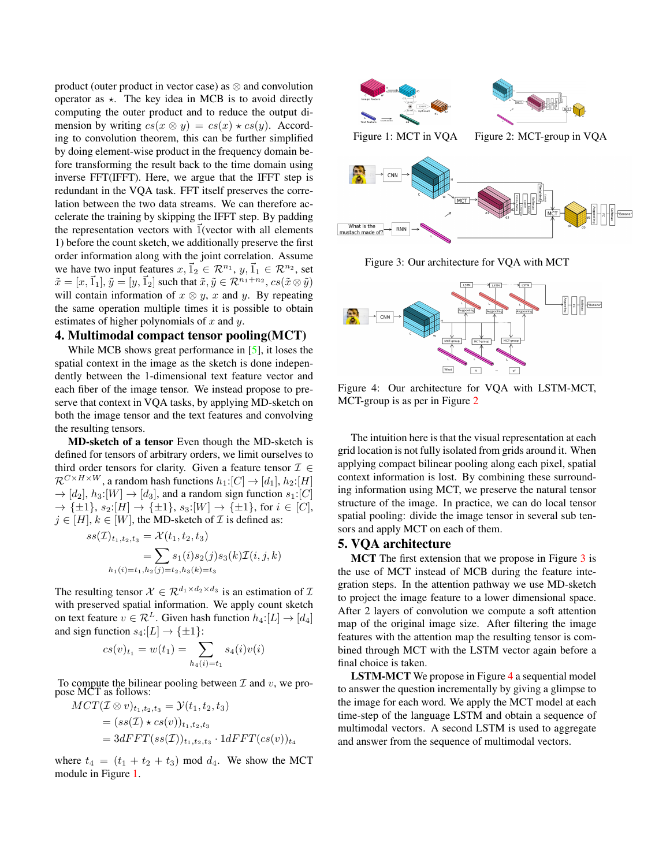<span id="page-1-4"></span>product (outer product in vector case) as  $\otimes$  and convolution operator as  $\star$ . The key idea in MCB is to avoid directly computing the outer product and to reduce the output dimension by writing  $cs(x \otimes y) = cs(x) \star cs(y)$ . According to convolution theorem, this can be further simplified by doing element-wise product in the frequency domain before transforming the result back to the time domain using inverse FFT(IFFT). Here, we argue that the IFFT step is redundant in the VQA task. FFT itself preserves the correlation between the two data streams. We can therefore accelerate the training by skipping the IFFT step. By padding the representation vectors with  $\vec{1}$ (vector with all elements 1) before the count sketch, we additionally preserve the first order information along with the joint correlation. Assume we have two input features  $x, \vec{1}_2 \in \mathcal{R}^{n_1}, y, \vec{1}_1 \in \mathcal{R}^{n_2}$ , set  $\tilde{x} = [x, \vec{1}_1], \tilde{y} = [y, \vec{1}_2]$  such that  $\tilde{x}, \tilde{y} \in \mathcal{R}^{n_1+n_2}$ ,  $cs(\tilde{x} \otimes \tilde{y})$ will contain information of  $x \otimes y$ , x and y. By repeating the same operation multiple times it is possible to obtain estimates of higher polynomials of  $x$  and  $y$ .

## <span id="page-1-0"></span>4. Multimodal compact tensor pooling(MCT)

While MCB shows great performance in [\[5\]](#page-2-9), it loses the spatial context in the image as the sketch is done independently between the 1-dimensional text feature vector and each fiber of the image tensor. We instead propose to preserve that context in VQA tasks, by applying MD-sketch on both the image tensor and the text features and convolving the resulting tensors.

MD-sketch of a tensor Even though the MD-sketch is defined for tensors of arbitrary orders, we limit ourselves to third order tensors for clarity. Given a feature tensor  $\mathcal{I} \in$  $\mathcal{R}^{C \times H \times W}$ , a random hash functions  $h_1:[C] \to [d_1], h_2:[H]$  $\rightarrow$  [d<sub>2</sub>], h<sub>3</sub>:[W]  $\rightarrow$  [d<sub>3</sub>], and a random sign function s<sub>1</sub>:[C]  $\to \{\pm 1\}, s_2:[H] \to \{\pm 1\}, s_3:[W] \to \{\pm 1\},$  for  $i \in [C],$  $j \in [H], k \in [W]$ , the MD-sketch of  $\mathcal I$  is defined as:

$$
ss(\mathcal{I})_{t_1,t_2,t_3} = \mathcal{X}(t_1, t_2, t_3)
$$
  
= 
$$
\sum s_1(i)s_2(j)s_3(k)\mathcal{I}(i, j, k)
$$
  

$$
h_1(i) = t_1, h_2(j) = t_2, h_3(k) = t_3
$$

The resulting tensor  $\mathcal{X} \in \mathcal{R}^{d_1 \times d_2 \times d_3}$  is an estimation of  $\mathcal{I}$ with preserved spatial information. We apply count sketch on text feature  $v \in \mathcal{R}^L$ . Given hash function  $h_4: [L] \rightarrow [d_4]$ and sign function  $s_4:[L] \to {\pm 1}$ :

$$
cs(v)_{t_1} = w(t_1) = \sum_{h_4(i) = t_1} s_4(i)v(i)
$$

To compute the bilinear pooling between  $\mathcal I$  and  $v$ , we propose MCT as follows:

$$
MCT(\mathcal{I}\otimes v)_{t_1,t_2,t_3} = \mathcal{Y}(t_1,t_2,t_3)
$$
  
=  $(ss(\mathcal{I}) \star cs(v))_{t_1,t_2,t_3}$   
=  $3dFFT(ss(\mathcal{I}))_{t_1,t_2,t_3} \cdot 1dFFT(cs(v))_{t_4}$ 

where  $t_4 = (t_1 + t_2 + t_3) \text{ mod } d_4$ . We show the MCT module in Figure [1.](#page-1-1)

<span id="page-1-2"></span><span id="page-1-1"></span>

Figure 3: Our architecture for VQA with MCT

<span id="page-1-3"></span>

Figure 4: Our architecture for VQA with LSTM-MCT, MCT-group is as per in Figure [2](#page-1-1)

The intuition here is that the visual representation at each grid location is not fully isolated from grids around it. When applying compact bilinear pooling along each pixel, spatial context information is lost. By combining these surrounding information using MCT, we preserve the natural tensor structure of the image. In practice, we can do local tensor spatial pooling: divide the image tensor in several sub tensors and apply MCT on each of them.

## 5. VQA architecture

MCT The first extension that we propose in Figure [3](#page-1-2) is the use of MCT instead of MCB during the feature integration steps. In the attention pathway we use MD-sketch to project the image feature to a lower dimensional space. After 2 layers of convolution we compute a soft attention map of the original image size. After filtering the image features with the attention map the resulting tensor is combined through MCT with the LSTM vector again before a final choice is taken.

LSTM-MCT We propose in Figure [4](#page-1-3) a sequential model to answer the question incrementally by giving a glimpse to the image for each word. We apply the MCT model at each time-step of the language LSTM and obtain a sequence of multimodal vectors. A second LSTM is used to aggregate and answer from the sequence of multimodal vectors.